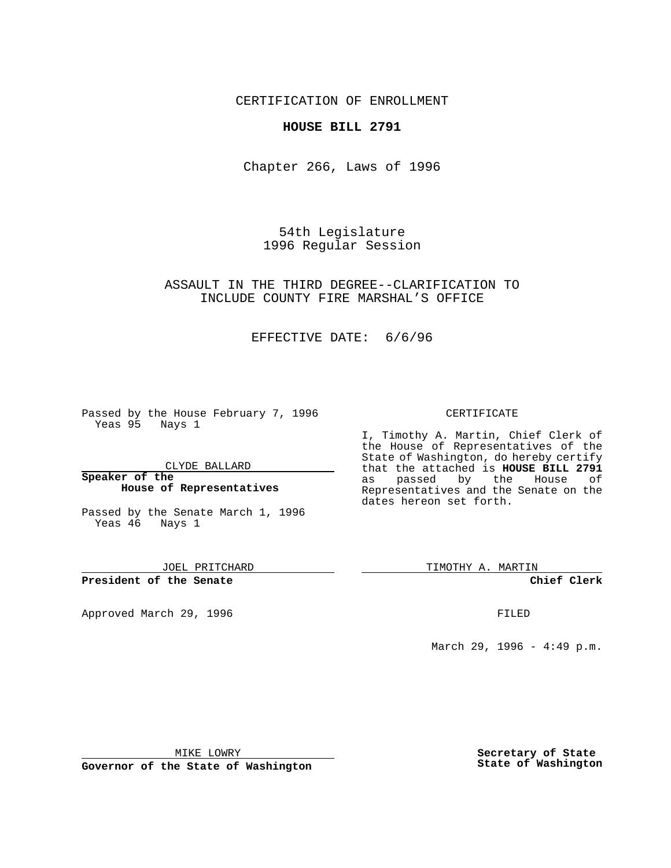CERTIFICATION OF ENROLLMENT

## **HOUSE BILL 2791**

Chapter 266, Laws of 1996

54th Legislature 1996 Regular Session

## ASSAULT IN THE THIRD DEGREE--CLARIFICATION TO INCLUDE COUNTY FIRE MARSHAL'S OFFICE

## EFFECTIVE DATE: 6/6/96

Passed by the House February 7, 1996 Yeas 95 Nays 1

CLYDE BALLARD

#### **Speaker of the House of Representatives**

Passed by the Senate March 1, 1996 Yeas 46 Nays 1

JOEL PRITCHARD

**President of the Senate**

Approved March 29, 1996 **FILED** 

### CERTIFICATE

I, Timothy A. Martin, Chief Clerk of the House of Representatives of the State of Washington, do hereby certify that the attached is **HOUSE BILL 2791** by the House of Representatives and the Senate on the dates hereon set forth.

TIMOTHY A. MARTIN

**Chief Clerk**

March 29, 1996 - 4:49 p.m.

MIKE LOWRY

**Governor of the State of Washington**

**Secretary of State State of Washington**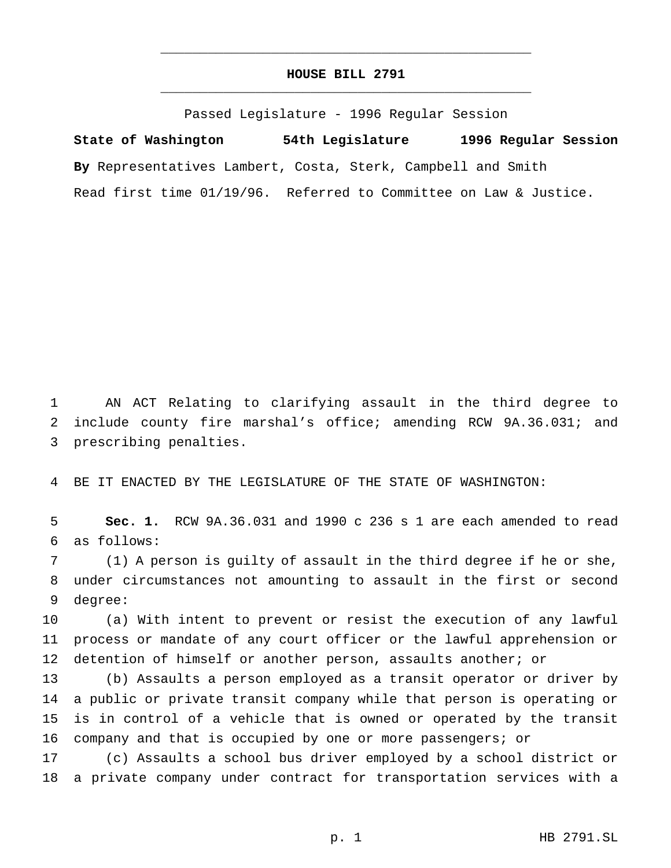# **HOUSE BILL 2791** \_\_\_\_\_\_\_\_\_\_\_\_\_\_\_\_\_\_\_\_\_\_\_\_\_\_\_\_\_\_\_\_\_\_\_\_\_\_\_\_\_\_\_\_\_\_\_

\_\_\_\_\_\_\_\_\_\_\_\_\_\_\_\_\_\_\_\_\_\_\_\_\_\_\_\_\_\_\_\_\_\_\_\_\_\_\_\_\_\_\_\_\_\_\_

Passed Legislature - 1996 Regular Session

**State of Washington 54th Legislature 1996 Regular Session By** Representatives Lambert, Costa, Sterk, Campbell and Smith Read first time 01/19/96. Referred to Committee on Law & Justice.

 AN ACT Relating to clarifying assault in the third degree to include county fire marshal's office; amending RCW 9A.36.031; and prescribing penalties.

BE IT ENACTED BY THE LEGISLATURE OF THE STATE OF WASHINGTON:

 **Sec. 1.** RCW 9A.36.031 and 1990 c 236 s 1 are each amended to read as follows:

 (1) A person is guilty of assault in the third degree if he or she, under circumstances not amounting to assault in the first or second degree:

 (a) With intent to prevent or resist the execution of any lawful process or mandate of any court officer or the lawful apprehension or 12 detention of himself or another person, assaults another; or

 (b) Assaults a person employed as a transit operator or driver by a public or private transit company while that person is operating or is in control of a vehicle that is owned or operated by the transit company and that is occupied by one or more passengers; or

 (c) Assaults a school bus driver employed by a school district or a private company under contract for transportation services with a